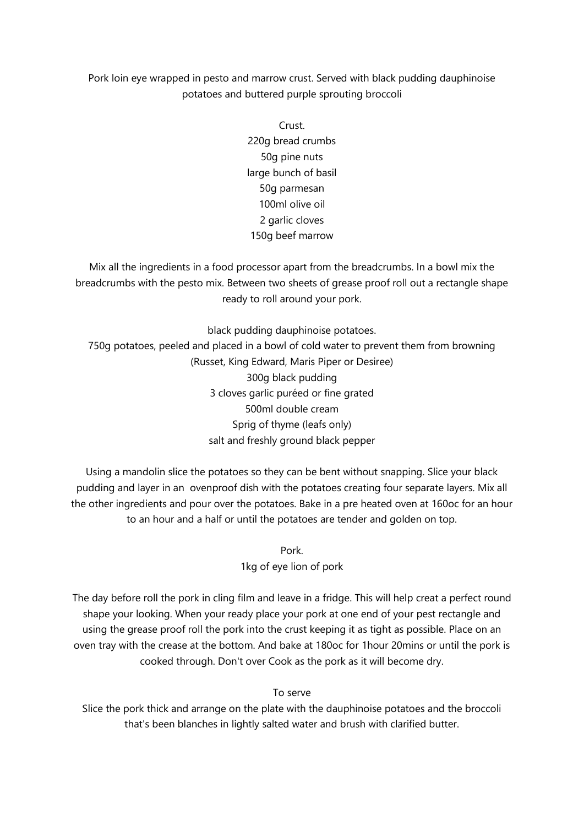## Pork loin eye wrapped in pesto and marrow crust. Served with black pudding dauphinoise potatoes and buttered purple sprouting broccoli

Crust. 220g bread crumbs 50g pine nuts large bunch of basil 50g parmesan 100ml olive oil 2 garlic cloves 150g beef marrow

Mix all the ingredients in a food processor apart from the breadcrumbs. In a bowl mix the breadcrumbs with the pesto mix. Between two sheets of grease proof roll out a rectangle shape ready to roll around your pork.

black pudding dauphinoise potatoes. 750g potatoes, peeled and placed in a bowl of cold water to prevent them from browning (Russet, King Edward, Maris Piper or Desiree) 300g black pudding 3 cloves garlic puréed or fine grated 500ml double cream Sprig of thyme (leafs only) salt and freshly ground black pepper

Using a mandolin slice the potatoes so they can be bent without snapping. Slice your black pudding and layer in an ovenproof dish with the potatoes creating four separate layers. Mix all the other ingredients and pour over the potatoes. Bake in a pre heated oven at 160oc for an hour to an hour and a half or until the potatoes are tender and golden on top.

> Pork. 1kg of eye lion of pork

The day before roll the pork in cling film and leave in a fridge. This will help creat a perfect round shape your looking. When your ready place your pork at one end of your pest rectangle and using the grease proof roll the pork into the crust keeping it as tight as possible. Place on an oven tray with the crease at the bottom. And bake at 180oc for 1hour 20mins or until the pork is cooked through. Don't over Cook as the pork as it will become dry.

To serve

Slice the pork thick and arrange on the plate with the dauphinoise potatoes and the broccoli that's been blanches in lightly salted water and brush with clarified butter.